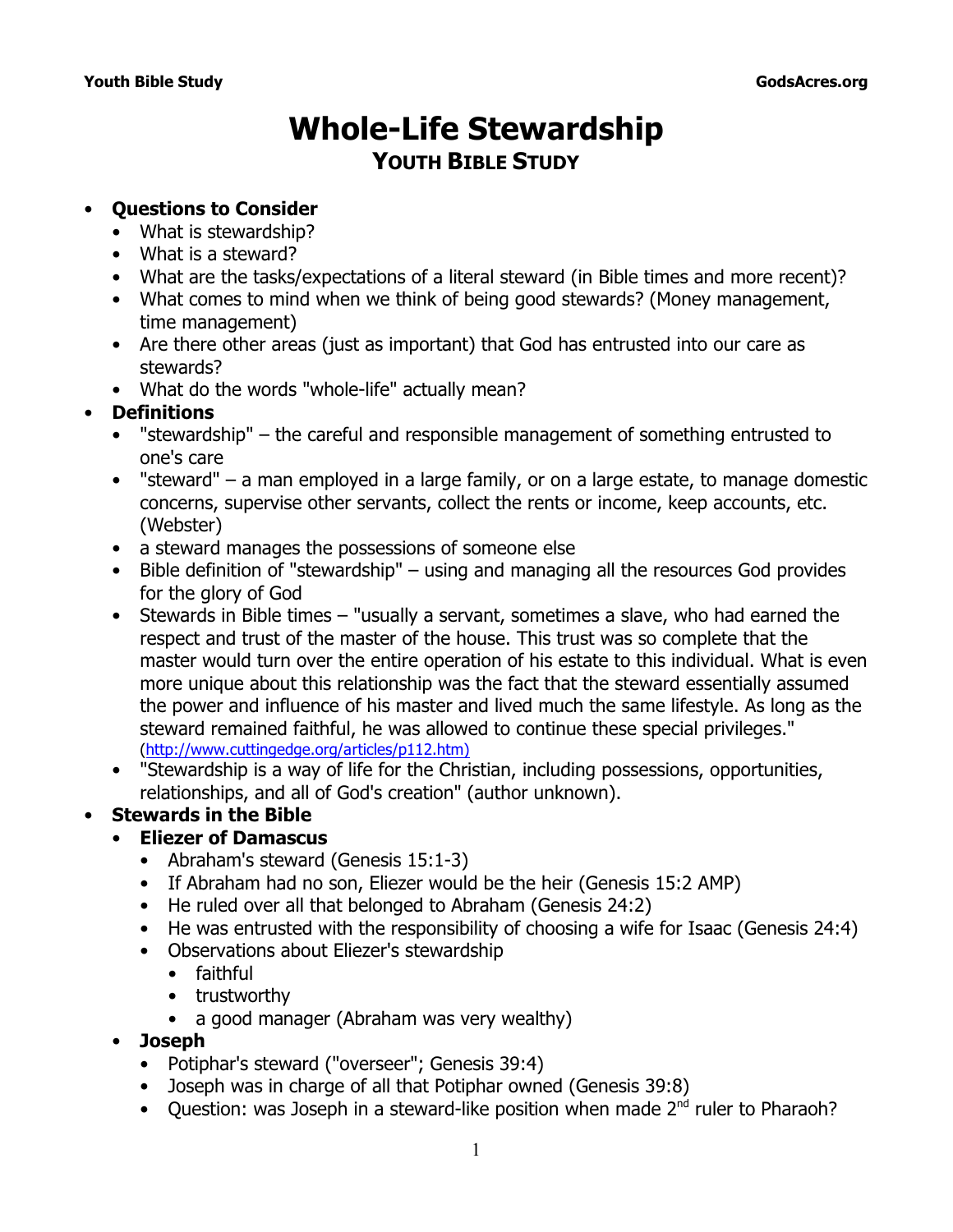# **Whole-Life Stewardship YOUTH BIBLE STUDY**

# • **Questions to Consider**

- What is stewardship?
- What is a steward?
- What are the tasks/expectations of a literal steward (in Bible times and more recent)?
- What comes to mind when we think of being good stewards? (Money management, time management)
- Are there other areas (just as important) that God has entrusted into our care as stewards?
- What do the words "whole-life" actually mean?

# • **Definitions**

- "stewardship" the careful and responsible management of something entrusted to one's care
- "steward" a man employed in a large family, or on a large estate, to manage domestic concerns, supervise other servants, collect the rents or income, keep accounts, etc. (*Webster*)
- a steward manages the possessions of someone else
- Bible definition of "stewardship" using and managing all the resources God provides for the glory of God
- Stewards in Bible times "usually a servant, sometimes a slave, who had earned the respect and trust of the master of the house. This trust was so complete that the master would turn over the entire operation of his estate to this individual. What is even more unique about this relationship was the fact that the steward essentially assumed the power and influence of his master and lived much the same lifestyle. As long as the steward remained faithful, he was allowed to continue these special privileges." (http://www.cuttingedge.org/articles/p112.htm)
- "Stewardship is a way of life for the Christian, including possessions, opportunities, relationships, and all of God's creation" (author unknown).

# • **Stewards in the Bible**

# • **Eliezer of Damascus**

- Abraham's steward (Genesis 15:1-3)
- If Abraham had no son, Eliezer would be the heir (Genesis 15:2 AMP)
- He ruled over all that belonged to Abraham (Genesis 24:2)
- He was entrusted with the responsibility of choosing a wife for Isaac (Genesis 24:4)
- Observations about Eliezer's stewardship
	- faithful
	- trustworthy
	- a good manager (Abraham was very wealthy)
- **Joseph**
	- Potiphar's steward ("overseer"; Genesis 39:4)
	- Joseph was in charge of all that Potiphar owned (Genesis 39:8)
	- Question: was Joseph in a steward-like position when made  $2<sup>nd</sup>$  ruler to Pharaoh?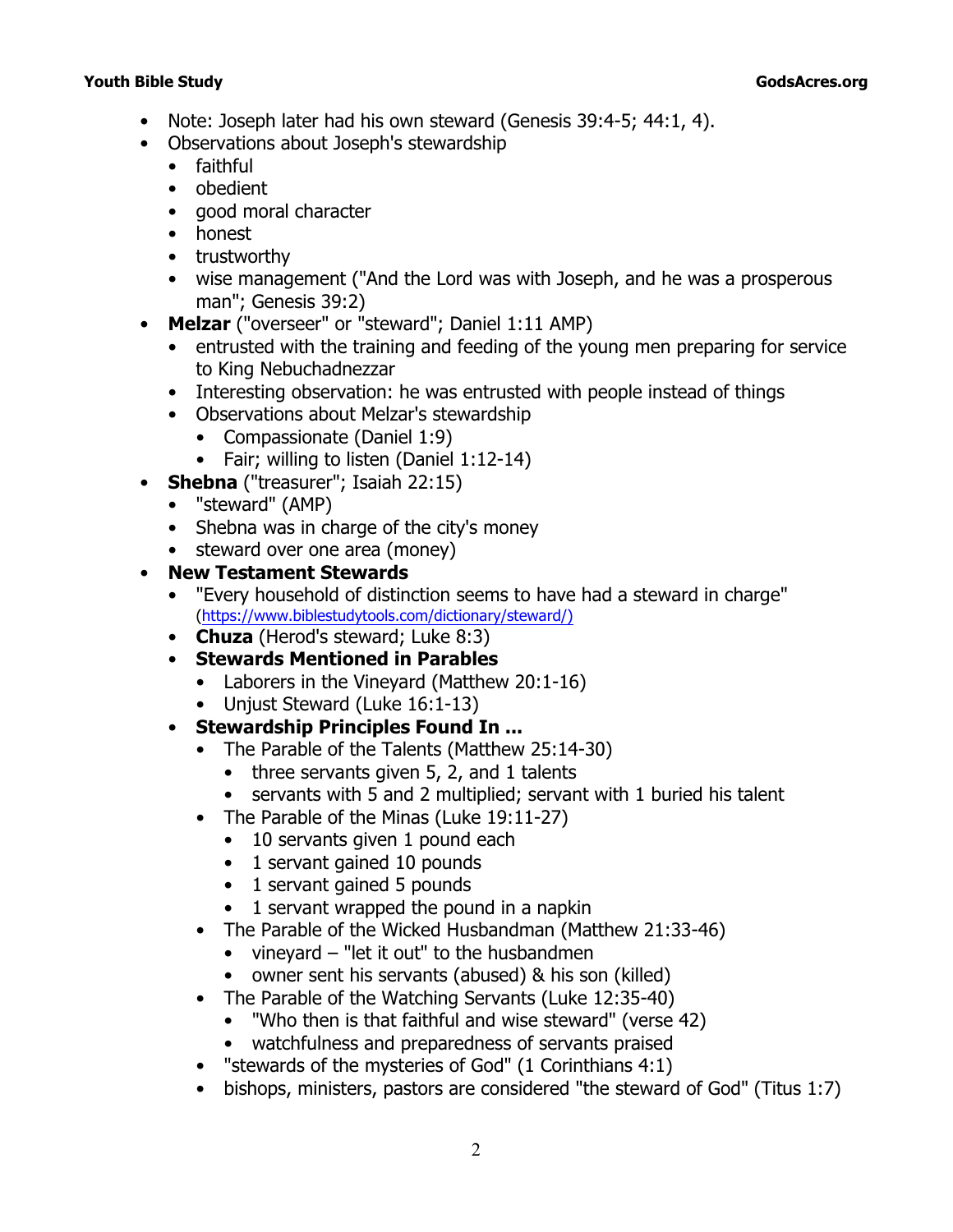- Note: Joseph later had his own steward (Genesis 39:4-5; 44:1, 4).
- Observations about Joseph's stewardship
	- faithful
	- obedient
	- good moral character
	- honest
	- trustworthy
	- wise management (*"And the Lord was with Joseph, and he was a prosperous man*"; Genesis 39:2)
- **Melzar** ("overseer" or "steward"; Daniel 1:11 AMP)
	- entrusted with the training and feeding of the young men preparing for service to King Nebuchadnezzar
	- Interesting observation: he was entrusted with *people* instead of *things*
	- Observations about Melzar's stewardship
		- Compassionate (Daniel 1:9)
		- Fair; willing to listen (Daniel 1:12-14)
- **Shebna** ("treasurer"; Isaiah 22:15)
	- "steward" (AMP)
	- Shebna was in charge of the city's money
	- steward over one area (money)
- **New Testament Stewards**
	- "Every household of distinction seems to have had a steward in charge" (https://www.biblestudytools.com/dictionary/steward/)
	- **Chuza** (Herod's steward; Luke 8:3)
	- **Stewards Mentioned in Parables**
		- Laborers in the Vineyard (Matthew 20:1-16)
		- Unjust Steward (Luke 16:1-13)
	- **Stewardship Principles Found In ...**
		- The Parable of the Talents (Matthew 25:14-30)
			- three servants given 5, 2, and 1 talents
			- servants with 5 and 2 multiplied; servant with 1 buried his talent
		- The Parable of the Minas (Luke 19:11-27)
			- 10 servants given 1 pound each
			- 1 servant gained 10 pounds
			- 1 servant gained 5 pounds
			- 1 servant wrapped the pound in a napkin
		- The Parable of the Wicked Husbandman (Matthew 21:33-46)
			- vineyard "let it out" to the husbandmen
			- owner sent his servants (abused) & his son (killed)
		- The Parable of the Watching Servants (Luke 12:35-40)
			- *"Who then is that faithful and wise steward"* (verse 42)
			- watchfulness and preparedness of servants praised
		- *"stewards of the mysteries of God"* (1 Corinthians 4:1)
		- bishops, ministers, pastors are considered *"the steward of God"* (Titus 1:7)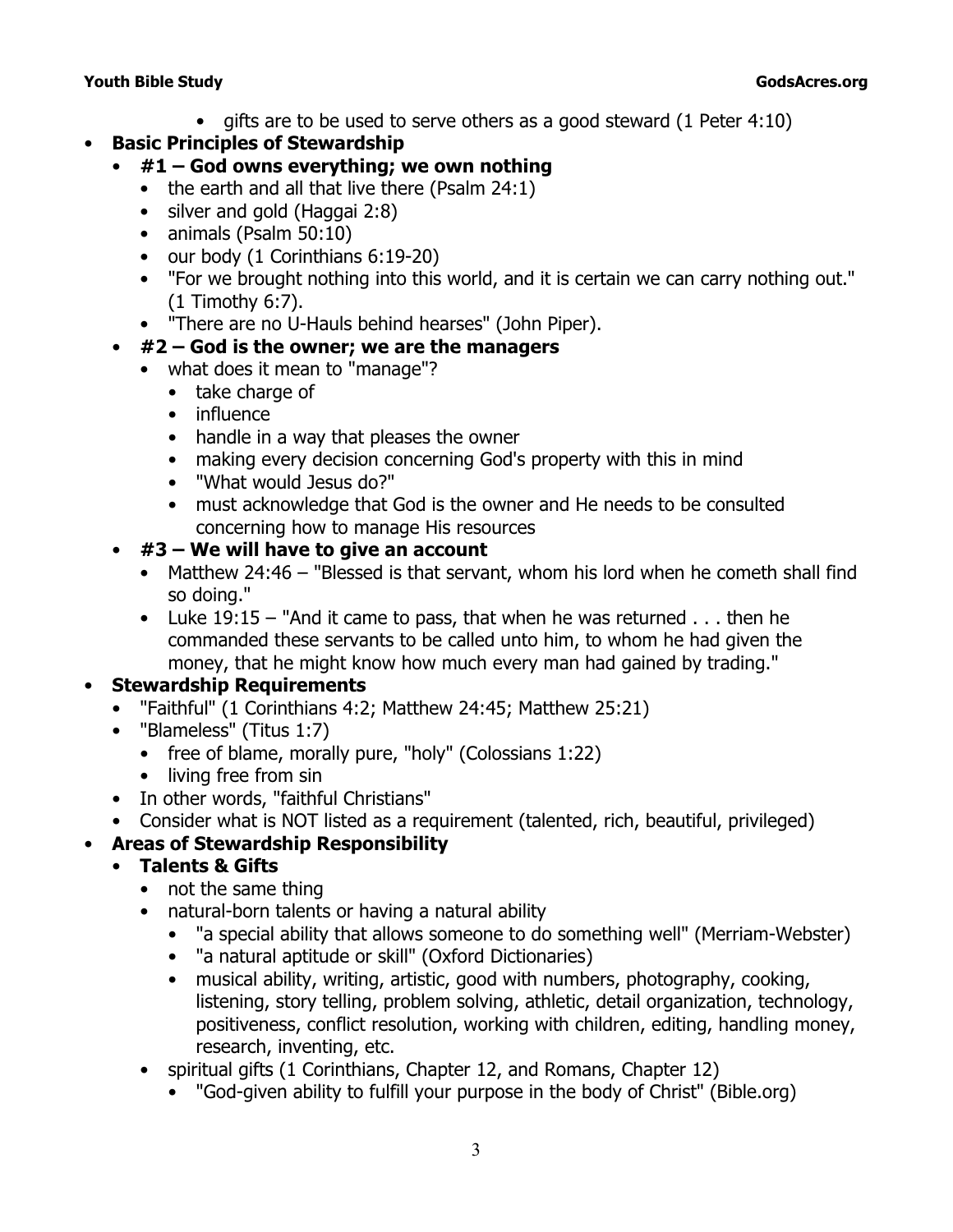- gifts are to be used to serve others as a good steward (1 Peter 4:10)
- **Basic Principles of Stewardship**

## • **#1 – God owns everything; we own nothing**

- the earth and all that live there (Psalm 24:1)
- silver and gold (Haggai 2:8)
- animals (Psalm 50:10)
- our body (1 Corinthians 6:19-20)
- *"For we brought nothing into this world, and it is certain we can carry nothing out."* (1 Timothy 6:7).
- "There are no U-Hauls behind hearses" (John Piper).

# • **#2 – God is the owner; we are the managers**

- what does it mean to "manage"?
	- take charge of
	- influence
	- handle in a way that pleases the owner
	- making every decision concerning God's property with this in mind
	- "What would Jesus do?"
	- must acknowledge that God is the owner and He needs to be consulted concerning how to manage His resources

# • **#3 – We will have to give an account**

- Matthew 24:46 *"Blessed is that servant, whom his lord when he cometh shall find so doing."*
- Luke 19:15 *"And it came to pass, that when he was returned . . . then he commanded these servants to be called unto him, to whom he had given the money, that he might know how much every man had gained by trading."*

# • **Stewardship Requirements**

- "Faithful" (1 Corinthians 4:2; Matthew 24:45; Matthew 25:21)
- "Blameless" (Titus 1:7)
	- free of blame, morally pure, "holy" (Colossians 1:22)
	- living free from sin
- In other words, "faithful Christians"
- Consider what is NOT listed as a requirement (talented, rich, beautiful, privileged)

# • **Areas of Stewardship Responsibility**

## • **Talents & Gifts**

- not the same thing
- natural-born talents or having a natural ability
	- "a special ability that allows someone to do something well" (*Merriam-Webster*)
	- "a natural aptitude or skill" (*Oxford Dictionaries*)
	- musical ability, writing, artistic, good with numbers, photography, cooking, listening, story telling, problem solving, athletic, detail organization, technology, positiveness, conflict resolution, working with children, editing, handling money, research, inventing, etc.
- spiritual gifts (1 Corinthians, Chapter 12, and Romans, Chapter 12)
	- "God-given ability to fulfill your purpose in the body of Christ" (*Bible.org*)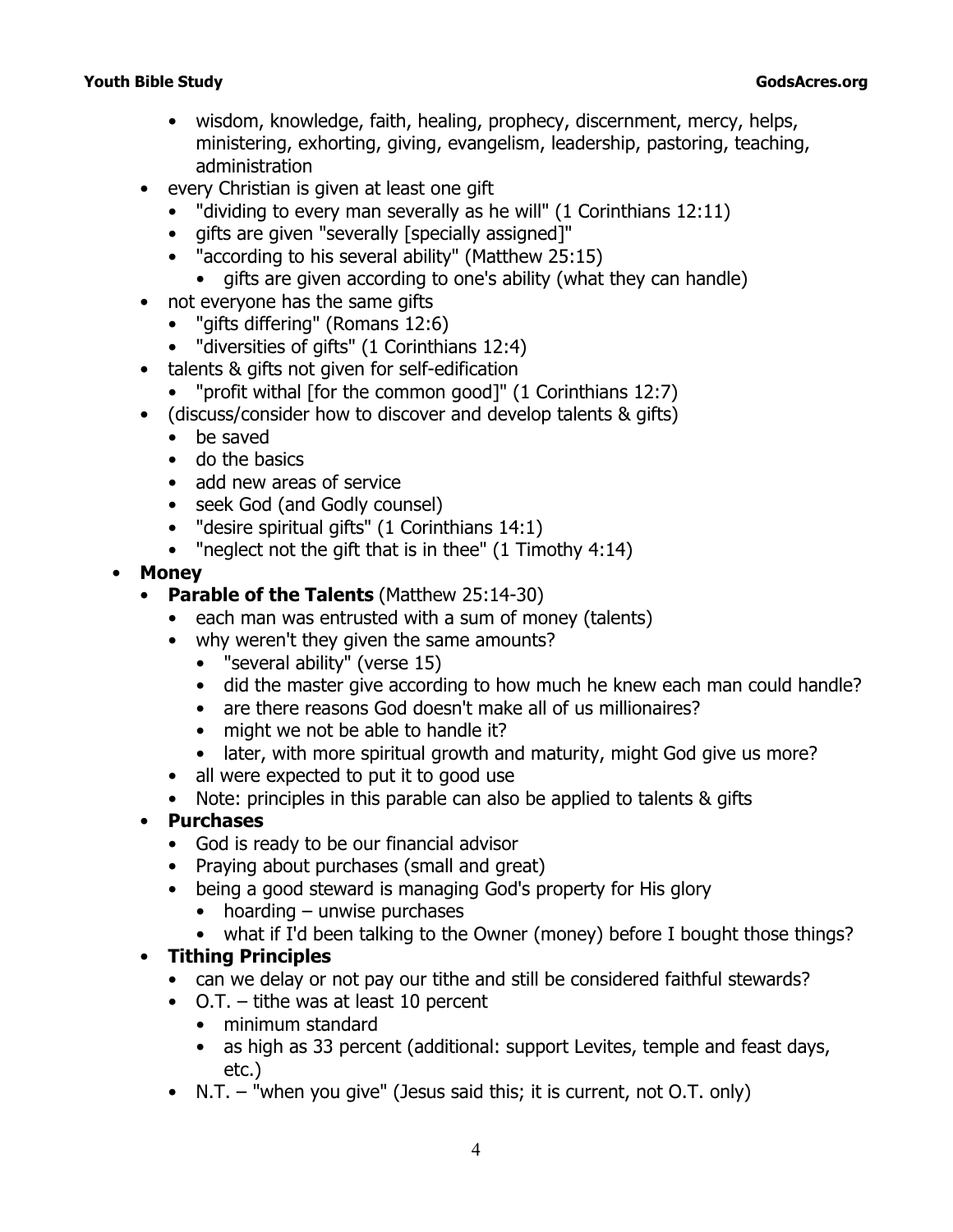- wisdom, knowledge, faith, healing, prophecy, discernment, mercy, helps, ministering, exhorting, giving, evangelism, leadership, pastoring, teaching, administration
- every Christian is given at least one gift
	- *"dividing to every man severally as he will"* (1 Corinthians 12:11)
	- gifts are given "severally [specially assigned]"
	- *"according to his several ability"* (Matthew 25:15)
	- gifts are given according to one's ability (what they can handle)
- not everyone has the same gifts
	- *"gifts differing"* (Romans 12:6)
	- *"diversities of gifts"* (1 Corinthians 12:4)
- talents & gifts not given for self-edification
	- *"profit withal* [for the common good]" (1 Corinthians 12:7)
- (discuss/consider how to discover and develop talents & gifts)
	- be saved
	- do the basics
	- add new areas of service
	- seek God (and Godly counsel)
	- *"desire spiritual gifts"* (1 Corinthians 14:1)
	- *"neglect not the gift that is in thee"* (1 Timothy 4:14)
- **Money**
	- **Parable of the Talents** (Matthew 25:14-30)
		- each man was entrusted with a sum of money (talents)
		- why weren't they given the same amounts?
			- *"several ability"* (verse 15)
			- did the master give according to how much he knew each man could handle?
			- are there reasons God doesn't make all of us millionaires?
			- might we not be able to handle it?
			- later, with more spiritual growth and maturity, might God give us more?
		- all were expected to put it to good use
		- Note: principles in this parable can also be applied to talents & gifts
	- **Purchases**
		- God is ready to be our financial advisor
		- Praying about purchases (small and great)
		- being a good steward is managing God's property for His glory
			- hoarding unwise purchases
			- what if I'd been talking to the Owner (money) before I bought those things?

# • **Tithing Principles**

- can we delay or not pay our tithe and still be considered *faithful* stewards?
- O.T. tithe was at least 10 percent
	- minimum standard
	- as high as 33 percent (additional: support Levites, temple and feast days, etc.)
- N.T. "when you give" (Jesus said this; it is current, not O.T. only)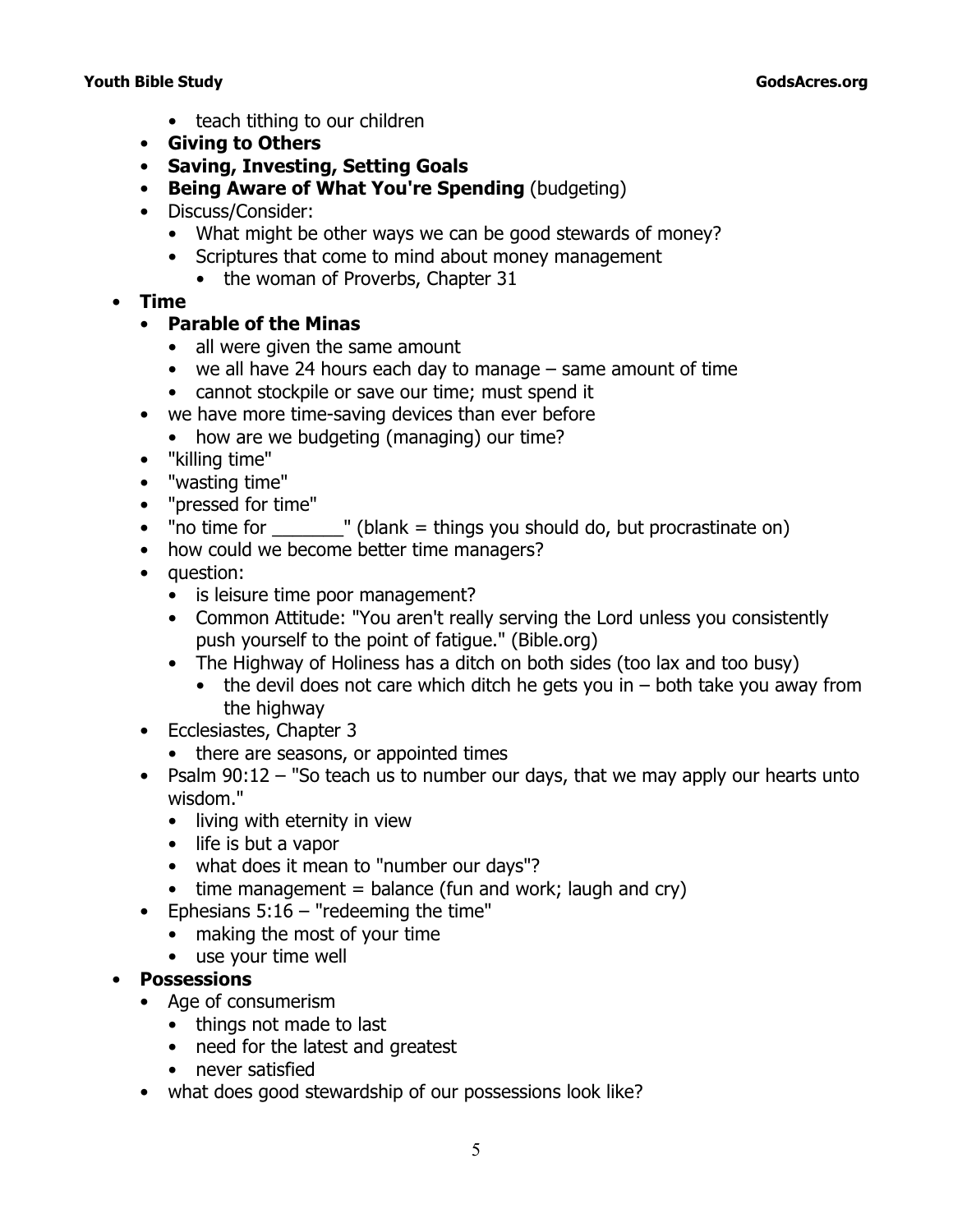- teach tithing to our children
- **Giving to Others**
- **Saving, Investing, Setting Goals**
- **Being Aware of What You're Spending** (budgeting)
- Discuss/Consider:
	- What might be other ways we can be good stewards of money?
	- Scriptures that come to mind about money management
		- the woman of Proverbs, Chapter 31
- **Time**
	- **Parable of the Minas**
		- all were given the same amount
		- we all have 24 hours each day to manage same amount of time
		- cannot stockpile or save our time; must spend it
	- we have more time-saving devices than ever before
		- how are we budgeting (managing) our time?
	- "killing time"
	- "wasting time"
	- "pressed for time"
	- "no time for  $\Box$ " (blank = things you should do, but procrastinate on)
	- how could we become better time managers?
	- question:
		- is *leisure time* poor management?
		- Common Attitude: "You aren't really serving the Lord unless you consistently push yourself to the point of fatigue." (*Bible.org*)
		- The Highway of Holiness has a ditch on both sides (too lax and too busy)
			- the devil does not care which ditch he gets you in  $-$  both take you away from the highway
	- Ecclesiastes, Chapter 3
		- there are seasons, or appointed times
	- Psalm 90:12 *"So teach us to number our days, that we may apply our hearts unto wisdom."*
		- living with eternity in view
		- life is but a vapor
		- what does it mean to *"number our days"*?
		- $\bullet$  time management = balance (fun and work; laugh and cry)
	- Ephesians 5:16 *"redeeming the time"*
		- making the most of your time
		- use your time well

## • **Possessions**

- Age of consumerism
	- things not made to last
	- need for the latest and greatest
	- never satisfied
- what does good stewardship of our possessions look like?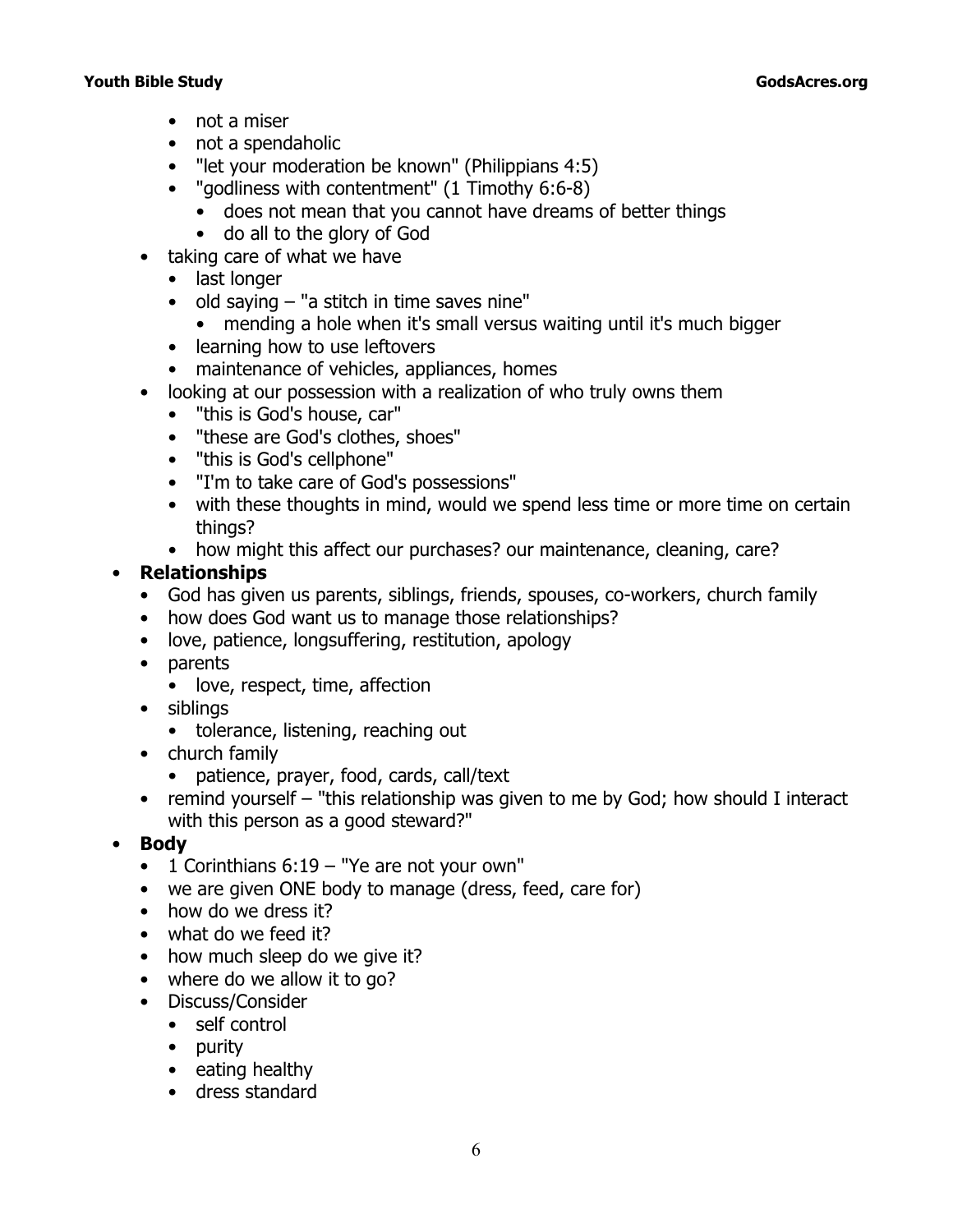- not a miser
- not a spendaholic
- *"let your moderation be known"* (Philippians 4:5)
- *"godliness with contentment"* (1 Timothy 6:6-8)
	- does not mean that you cannot have dreams of better things
	- do all to the glory of God
- taking care of what we have
	- last longer
	- old saying "a stitch in time saves nine"
		- mending a hole when it's small versus waiting until it's much bigger
	- learning how to use leftovers
	- maintenance of vehicles, appliances, homes
- looking at our possession with a realization of who truly owns them
	- "this is God's house, car"
	- "these are God's clothes, shoes"
	- "this is God's cellphone"
	- "I'm to take care of God's possessions"
	- with these thoughts in mind, would we spend less time or more time on certain things?
	- how might this affect our purchases? our maintenance, cleaning, care?

## • **Relationships**

- God has given us parents, siblings, friends, spouses, co-workers, church family
- how does God want us to manage those relationships?
- love, patience, longsuffering, restitution, apology
- parents
	- love, respect, time, affection
- siblings
	- tolerance, listening, reaching out
- church family
	- patience, prayer, food, cards, call/text
- remind yourself "this relationship was given to me by God; how should I interact with this person as a good steward?"
- **Body**
	- 1 Corinthians 6:19 *"Ye are not your own"*
	- we are given ONE body to manage (dress, feed, care for)
	- how do we dress it?
	- what do we feed it?
	- how much sleep do we give it?
	- where do we allow it to go?
	- Discuss/Consider
		- self control
		- purity
		- eating healthy
		- dress standard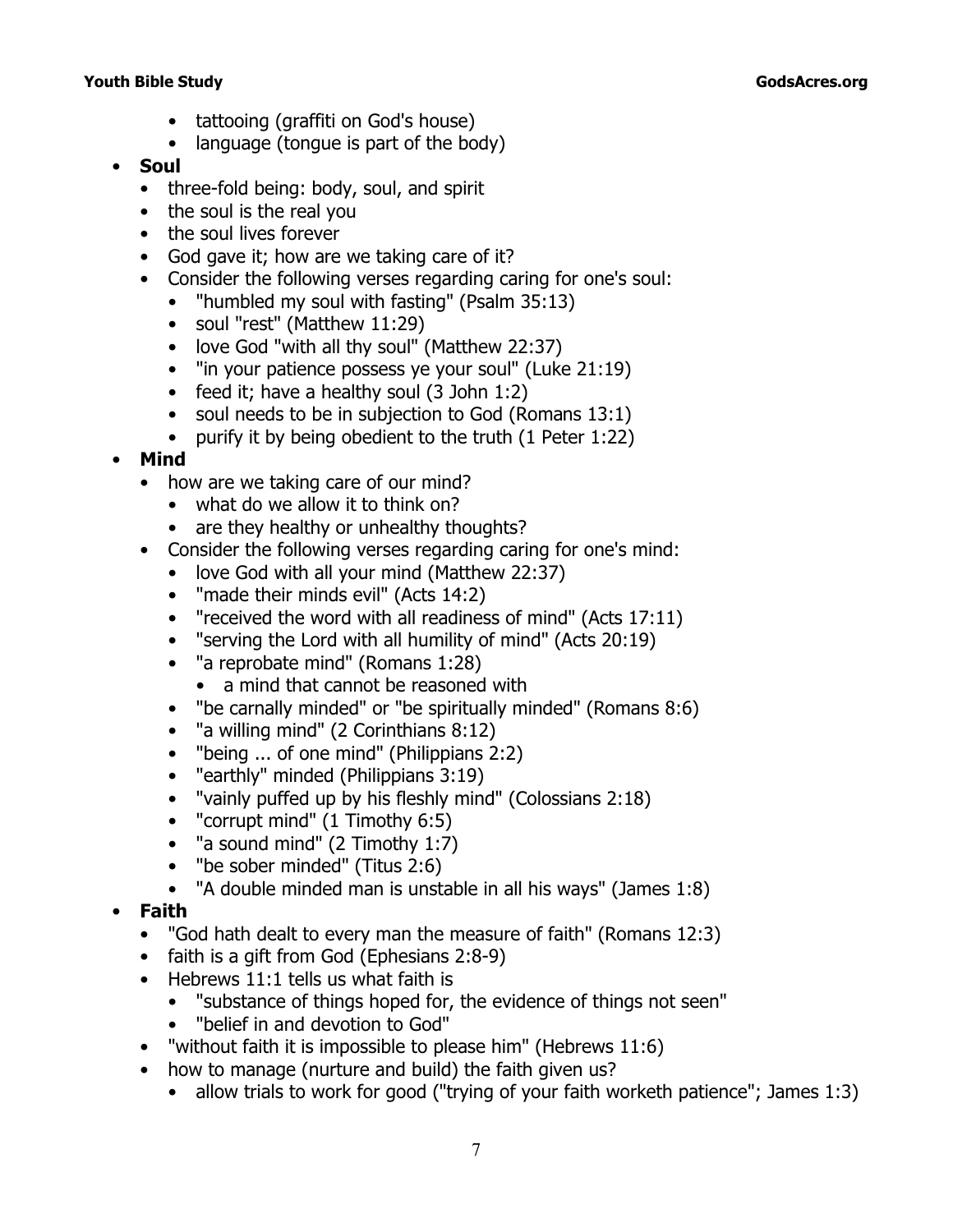- tattooing (graffiti on God's house)
- language (tongue is part of the body)

## • **Soul**

- three-fold being: body, soul, and spirit
- the soul is the real you
- the soul lives forever
- God gave it; how are we taking care of it?
- Consider the following verses regarding caring for one's soul:
	- *"humbled my soul with fasting"* (Psalm 35:13)
		- soul *"rest"* (Matthew 11:29)
		- love God *"with all thy soul"* (Matthew 22:37)
		- *"in your patience possess ye your soul"* (Luke 21:19)
		- feed it; have a healthy soul (3 John 1:2)
		- soul needs to be in subjection to God (Romans 13:1)
		- purify it by being obedient to the truth (1 Peter 1:22)

# • **Mind**

- how are we taking care of our mind?
	- what do we allow it to think on?
	- are they healthy or unhealthy thoughts?
- Consider the following verses regarding caring for one's mind:
	- love God with all your mind (Matthew 22:37)
	- *"made their minds evil"* (Acts 14:2)
	- *"received the word with all readiness of mind"* (Acts 17:11)
	- *"serving the Lord with all humility of mind"* (Acts 20:19)
	- *"a reprobate mind"* (Romans 1:28)
		- a mind that cannot be reasoned with
	- *"be carnally minded"* or *"be spiritually minded"* (Romans 8:6)
	- *"a willing mind"* (2 Corinthians 8:12)
	- *"being ... of one mind"* (Philippians 2:2)
	- *"earthly"* minded (Philippians 3:19)
	- *"vainly puffed up by his fleshly mind"* (Colossians 2:18)
	- *"corrupt mind"* (1 Timothy 6:5)
	- *"a sound mind"* (2 Timothy 1:7)
	- *"be sober minded"* (Titus 2:6)
	- "*A double minded man is unstable in all his ways"* (James 1:8)
- **Faith**
	- *"God hath dealt to every man the measure of faith"* (Romans 12:3)
	- faith is a gift from God (Ephesians 2:8-9)
	- Hebrews 11:1 tells us what faith is
		- *"substance of things hoped for, the evidence of things not seen"*
		- *"belief in and devotion to God"*
	- *"without faith it is impossible to please him"* (Hebrews 11:6)
	- how to manage (nurture and build) the faith given us?
		- allow trials to work for good (*"trying of your faith worketh patience"*; James 1:3)